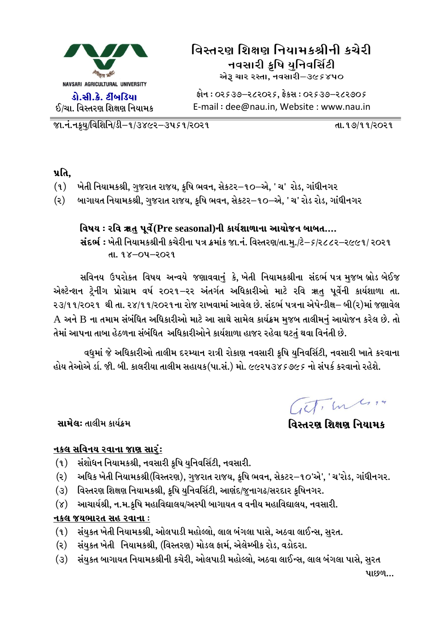

ફોન : 0૨૬૩૭–૨૮૨૦૨૬, ફેકસ : 0૨૬૩૭–૨૮૨૭૦૬ E-mail: dee@nau.in, Website: www.nau.in

<u> જા.નં.નકુય/વિશિનિ/ડી–૧/૩૪૯૨–૩૫૬૧/૨૦૨૧</u>

<u>તા. ૧૭/૧૧/૨૦૨૧</u>

પ્રતિ.

- ખેતી નિયામકશ્રી, ગુજરાત રાજય, કૃષિ ભવન, સેકટર–૧૦–એ, ' ચ' રોડ, ગાંધીનગર  $(9)$
- બાગાયત નિયામકશ્રી, ગુજરાત રાજય, કૃષિ ભવન, સેકટર−૧૦–એ, ' ચ' રોડ રોડ, ગાંધીનગર  $(5)$

#### વિષય : રવિ ૠતુ પૂર્વે(Pre seasonal)ની કાર્યશાળાના આયોજન બાબત....

સંદર્ભ: ખેતી નિયામકશ્રીની કચેરીના પત્ર ક્રમાંક જા.નં. વિસ્તરણ/તા.મુ./ટે-5/ર૮૮૨-ર૯૯૧/ ર૦ર૧ તા. ૧૪–૦૫–૨૦૨૧

સવિનય ઉપરોકત વિષય અન્વયે જણાવવાનું કે, ખેતી નિયામકશ્રીના સંદર્ભ પત્ર મુજબ બ્રોડ બેઈજ એક્ષ્ટેન્શન ટ્રેનીંગ પ્રોગ્રામ વર્ષ ૨૦૨૧–૨૨ અંતર્ગત અધિકારીઓ માટે રવિ ૠતુ પૂર્વેની કાર્યશાળા તા. ૨૩/૧૧/૨૦૨૧ થી તા. ૨૪/૧૧/૨૦૨૧ના રોજ રાખવામાં આવેલ છે. સંદર્ભ પત્રના એપેન્ડીક્ષ– બી(૨)માં જણાવેલ A અને B ના તમામ સંબંધિત અધિકારીઓ માટે આ સાથે સામેલ કાર્યક્રમ મુજબ તાલીમનું આયોજન કરેલ છે. તો તેમાં આપના તાબા હેઠળના સંબંધિત અધિકારીઓને કાર્યશાળા હાજર રહેવા ઘટતં થવા વિનંતી છે.

વધુમાં જે અધિકારીઓ તાલીમ દરમ્યાન રાત્રી રોકાણ નવસારી કૃષિ યુનિવર્સિટી, નવસારી ખાતે કરવાના હોય તેઓએ ર્ડા. જી. બી. કાલરીયા તાલીમ સહાયક(પા.સં.) મો. ૯૯૨૫૩૪૬૭૯૬ નો સંપર્ક કરવાનો રહેશે.

Get, In 1.14

વિસ્તરણ શિક્ષણ નિયામક

સામેલ: તાલીમ કાર્યક્રમ

#### <u>નકલ સવિનય રવાના જાણ સારં:</u>

- સંશોધન નિયામકશ્રી, નવસારી કૃષિ યુનિવર્સિટી, નવસારી.  $(9)$
- અધિક ખેતી નિયામકશ્રી(વિસ્તરણ), ગુજરાત રાજય, કૃષિ ભવન, સેકટર–૧૦'એ', ' ચ'રોડ, ગાંધીનગર.  $(5)$
- વિસ્તરણ શિક્ષણ નિયામકશ્રી, કૃષિ યુનિવર્સિટી, આણંદ/જુનાગઢ/સરદાર કૃષિનગર.  $(3)$
- આચાર્યશ્રી, ન.મ.કૃષિ મહાવિદ્યાલય/અસ્પી બાગાયત વ વનીય મહાવિદ્યાલય, નવસારી.  $(\lambda)$

#### નકલ જયભારત સહ રવાના :

- (૧) સંયુકત ખેતી નિયામકશ્રી, ઓલપાડી મહોલ્લો, લાલ બંગલા પાસે, અઠવા લાઈન્સ, સુરત.
- સંયુકત ખેતી નિયામકશ્રી, (વિસ્તરણ) મોડલ ફાર્મ, એલેમ્બીક રોડ, વડોદરા. (૨)  $\overline{a}$
- (૩) સંયુકત બાગાયત નિયામકશ્રીની કચેરી, ઓલપાડી મહોલ્લો, અઠવા લાઈન્સ, લાલ બંગલા પાસે, સુરત

પાછળ...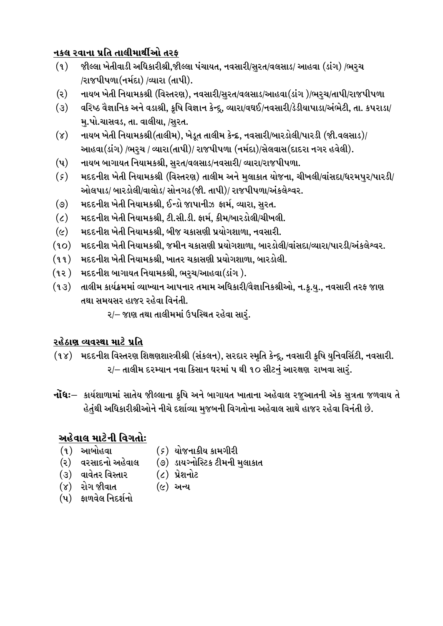#### નકલ રવાના પ્રતિ તાલીમાર્થીઓ તરફ

- જીલ્લા ખેતીવાડી અધિકારીશ્રી,જીલ્લા પંચાયત, નવસારી/સુરત/વલસાડ/ આહવા (ડાંગ) /ભરૃચ  $(9)$ /રાજપીપળા(નર્મદા) /વ્યારા (તાપી).
- નાયબ ખેતી નિયામકશ્રી (વિસ્તરણ), નવસારી/સુરત/વલસાડ/આહવા(ડાંગ )/ભરુચ/તાપી/રાજપીપળા  $(5)$
- વરિષ્ઠ વૈજ્ઞાનિક અને વડાશ્રી, કૃષિ વિજ્ઞાન કેન્દૂ, વ્યારા/વઘઈ/નવસારી/ડેડીયાપાડા/અંભેટી, તા. કપરાડા/  $(3)$ મ.પો.ચાસવડ, તા. વાલીયા, /સરત.
- $(\lambda)$ નાયબ ખેતી નિયામકશ્રી(તાલીમ), ખેડૂત તાલીમ કેન્દ્ર, નવસારી/બારડોલી/પારડી (જી.વલસાડ)/ આહવા(ડાંગ) /ભરચ / વ્યારા(તાપી)/ રાજપીપળા (નર્મદા)/સેલવાસ(દાદરા નગર હવેલી).
- $(\mathbf{u})$ નાયબ બાગાયત નિયામકશ્રી, સુરત/વલસાડ/નવસારી/ વ્યારા/રાજપીપળા.
- મદદનીશ ખેતી નિયામકશ્રી (વિસ્તરણ) તાલીમ અને મલાકાત યોજના, ચીખલી/વાંસદા/ધરમપર/પારડી/  $(\zeta)$ ઓલપાડ/ બારડોલી/વાલોડ/ સોનગઢ(જી. તાપી)/ રાજપીપળા/અંકલેશ્વર.
- મદદનીશ ખેતી નિયામકશ્રી. ઈન્ડો જાપાનીઝ ફાર્મ. વ્યારા. સરત.  $(\mathcal{O})$
- મદદનીશ ખેતી નિયામકશ્રી, ટી.સી.ડી. ફાર્મ, કીમ/બારડોલી/ચીખલી.  $\epsilon$
- મદદનીશ ખેતી નિયામકશ્રી, બીજ ચકાસણી પ્રયોગશાળા, નવસારી.  $(\mathfrak{c})$
- મદદનીશ ખેતી નિયામકશ્રી, જમીન ચકાસણી પ્રયોગશાળા, બારડોલી/વાંસદા/વ્યારા/પારડી/અંકલેશ્વર.  $(90)$
- $(99)$ મદદનીશ ખેતી નિયામકશ્રી, ખાતર ચકાસણી પ્રયોગશાળા, બારડોલી.
- મદદનીશ બાગાયત નિયામકશ્રી, ભરચ/આહવા(ડાંગ ).  $(35)$
- તાલીમ કાર્યક્રમમાં વ્યાખ્યાન આપનાર તમામ અધિકારી/વૈજ્ઞાનિકશ્રીઓ, ન.કૃ.યુ., નવસારી તરફ જાણ  $(93)$ તથા સમયસર હાજર રહેવા વિનંતી.

૨/– જાણ તથા તાલીમમાં ઉપસ્થિત રહેવા સારં.

## રહેઠાણ વ્યવસ્થા માટે પ્રતિ

- (૧૪) મદદનીશ વિસ્તરણ શિક્ષણશાસ્ત્રીશ્રી (સંકલન), સરદાર સ્મૃતિ કેન્દ્રુ, નવસારી કૃષિ યુનિવર્સિટી, નવસારી. २/– તાલીમ દરમ્યાન નવા કિસાન ઘરમાં ૫ થી ૧૦ સીટનં આરક્ષણ રાખવા સારં.
- **નોંધઃ** કાર્યશાળામાં સાતેય જીલ્લાના કૃષિ અને બાગાયત ખાતાના અહેવાલ રજઆતની એક સત્રતા જળવાય તે હેતુંથી અધિકારીશ્રીઓને નીચે દર્શાવ્યા મુજબની વિગતોના અહેવાલ સાથે હાજર રહેવા વિનંતી છે.

## અહેવાલ માટેની વિગતોઃ

- $(9)$  આબોહવા
- (*૬*) યોજનાકીય કામગીરી
- (૨) વરસાદનો અહેવાલ
- (૭) ડાયગ્નોસ્ટિક ટીમની મુલાકાત
- (૩) વાવેતર વિસ્તાર
- $(c)$  પ્રેશનોટ  $(c)$  અન્ય
- (૪) રોગ જીવાત
- (પ) ફાળવેલ નિદર્શનો